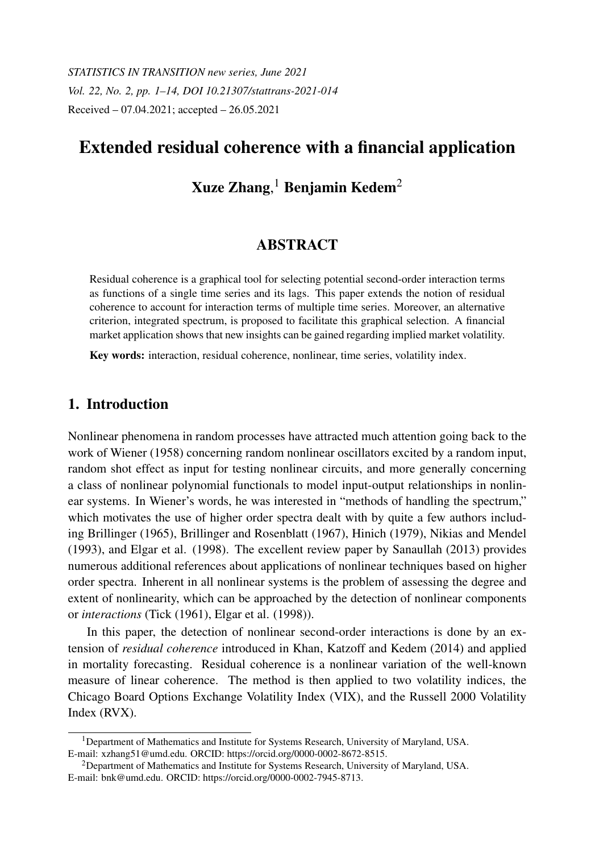*STATISTICS IN TRANSITION new series, June 2021 Vol. 22, No. 2, pp. 1–14, DOI 10.21307/stattrans-2021-014* Received – 07.04.2021; accepted – 26.05.2021

# Extended residual coherence with a financial application

# Xuze Zhang, $^1$  Benjamin Kedem $^2$

# ABSTRACT

Residual coherence is a graphical tool for selecting potential second-order interaction terms as functions of a single time series and its lags. This paper extends the notion of residual coherence to account for interaction terms of multiple time series. Moreover, an alternative criterion, integrated spectrum, is proposed to facilitate this graphical selection. A financial market application shows that new insights can be gained regarding implied market volatility.

Key words: interaction, residual coherence, nonlinear, time series, volatility index.

## 1. Introduction

Nonlinear phenomena in random processes have attracted much attention going back to the work of Wiener (1958) concerning random nonlinear oscillators excited by a random input, random shot effect as input for testing nonlinear circuits, and more generally concerning a class of nonlinear polynomial functionals to model input-output relationships in nonlinear systems. In Wiener's words, he was interested in "methods of handling the spectrum," which motivates the use of higher order spectra dealt with by quite a few authors including Brillinger (1965), Brillinger and Rosenblatt (1967), Hinich (1979), Nikias and Mendel (1993), and Elgar et al. (1998). The excellent review paper by Sanaullah (2013) provides numerous additional references about applications of nonlinear techniques based on higher order spectra. Inherent in all nonlinear systems is the problem of assessing the degree and extent of nonlinearity, which can be approached by the detection of nonlinear components or *interactions* (Tick (1961), Elgar et al. (1998)).

In this paper, the detection of nonlinear second-order interactions is done by an extension of *residual coherence* introduced in Khan, Katzoff and Kedem (2014) and applied in mortality forecasting. Residual coherence is a nonlinear variation of the well-known measure of linear coherence. The method is then applied to two volatility indices, the Chicago Board Options Exchange Volatility Index (VIX), and the Russell 2000 Volatility Index (RVX).

<sup>1</sup>Department of Mathematics and Institute for Systems Research, University of Maryland, USA. E-mail: xzhang51@umd.edu. ORCID: https://orcid.org/0000-0002-8672-8515.

<sup>2</sup>Department of Mathematics and Institute for Systems Research, University of Maryland, USA. E-mail: bnk@umd.edu. ORCID: https://orcid.org/0000-0002-7945-8713.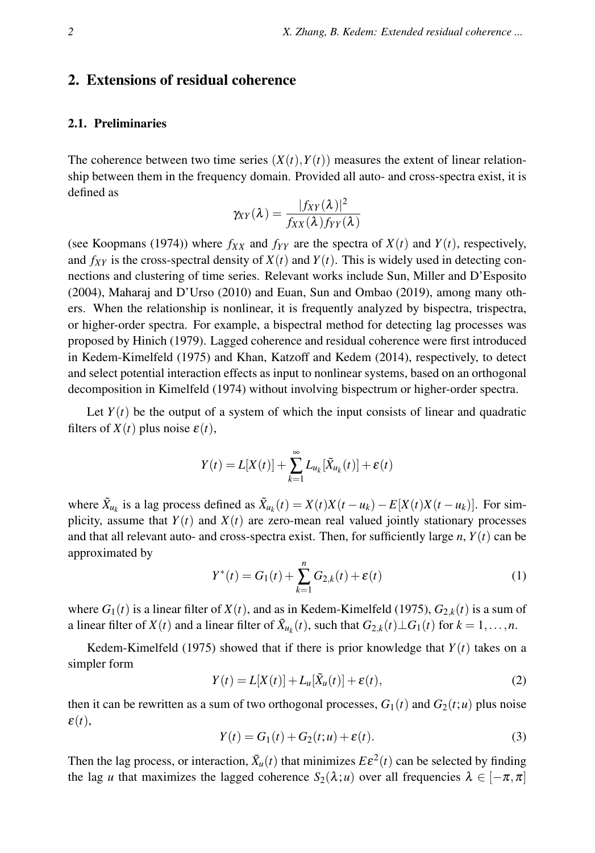## 2. Extensions of residual coherence

### 2.1. Preliminaries

The coherence between two time series  $(X(t), Y(t))$  measures the extent of linear relationship between them in the frequency domain. Provided all auto- and cross-spectra exist, it is defined as

$$
\gamma_{XY}(\lambda) = \frac{|f_{XY}(\lambda)|^2}{f_{XX}(\lambda)f_{YY}(\lambda)}
$$

(see Koopmans (1974)) where  $f_{XX}$  and  $f_{YY}$  are the spectra of  $X(t)$  and  $Y(t)$ , respectively, and  $f_{XY}$  is the cross-spectral density of  $X(t)$  and  $Y(t)$ . This is widely used in detecting connections and clustering of time series. Relevant works include Sun, Miller and D'Esposito (2004), Maharaj and D'Urso (2010) and Euan, Sun and Ombao (2019), among many others. When the relationship is nonlinear, it is frequently analyzed by bispectra, trispectra, or higher-order spectra. For example, a bispectral method for detecting lag processes was proposed by Hinich (1979). Lagged coherence and residual coherence were first introduced in Kedem-Kimelfeld (1975) and Khan, Katzoff and Kedem (2014), respectively, to detect and select potential interaction effects as input to nonlinear systems, based on an orthogonal decomposition in Kimelfeld (1974) without involving bispectrum or higher-order spectra.

Let  $Y(t)$  be the output of a system of which the input consists of linear and quadratic filters of  $X(t)$  plus noise  $\varepsilon(t)$ ,

$$
Y(t) = L[X(t)] + \sum_{k=1}^{\infty} L_{u_k}[\tilde{X}_{u_k}(t)] + \varepsilon(t)
$$

where  $\tilde{X}_{u_k}$  is a lag process defined as  $\tilde{X}_{u_k}(t) = X(t)X(t - u_k) - E[X(t)X(t - u_k)]$ . For simplicity, assume that  $Y(t)$  and  $X(t)$  are zero-mean real valued jointly stationary processes and that all relevant auto- and cross-spectra exist. Then, for sufficiently large  $n$ ,  $Y(t)$  can be approximated by

$$
Y^*(t) = G_1(t) + \sum_{k=1}^n G_{2,k}(t) + \varepsilon(t)
$$
\n(1)

where  $G_1(t)$  is a linear filter of  $X(t)$ , and as in Kedem-Kimelfeld (1975),  $G_{2,k}(t)$  is a sum of a linear filter of  $X(t)$  and a linear filter of  $\tilde{X}_{u_k}(t)$ , such that  $G_{2,k}(t) \perp G_1(t)$  for  $k = 1, \ldots, n$ .

Kedem-Kimelfeld (1975) showed that if there is prior knowledge that  $Y(t)$  takes on a simpler form

$$
Y(t) = L[X(t)] + L_u[\tilde{X}_u(t)] + \varepsilon(t),
$$
\n(2)

then it can be rewritten as a sum of two orthogonal processes,  $G_1(t)$  and  $G_2(t;u)$  plus noise ε(*t*),

$$
Y(t) = G_1(t) + G_2(t; u) + \varepsilon(t).
$$
 (3)

Then the lag process, or interaction,  $\tilde{X}_u(t)$  that minimizes  $E \varepsilon^2(t)$  can be selected by finding the lag *u* that maximizes the lagged coherence  $S_2(\lambda; u)$  over all frequencies  $\lambda \in [-\pi, \pi]$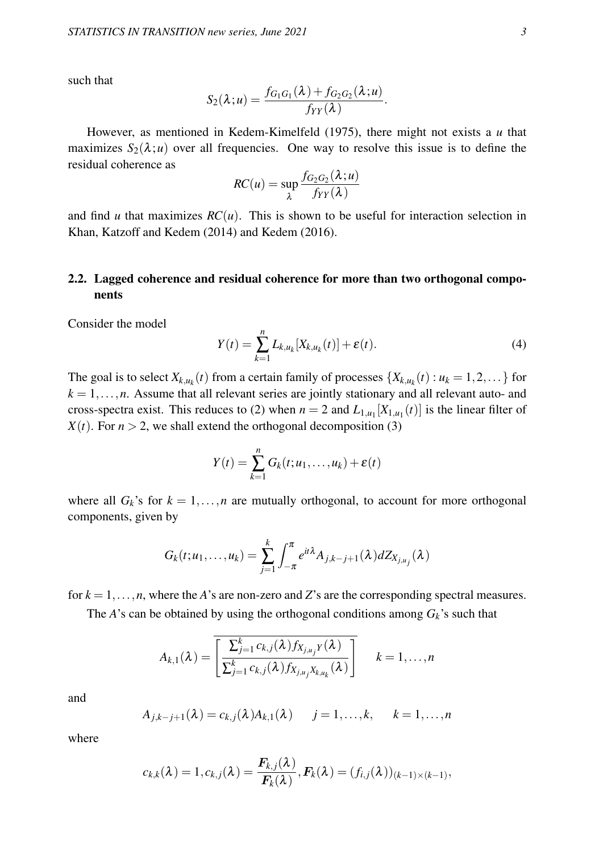such that

$$
S_2(\lambda; u) = \frac{f_{G_1G_1}(\lambda) + f_{G_2G_2}(\lambda; u)}{f_{YY}(\lambda)}.
$$

However, as mentioned in Kedem-Kimelfeld (1975), there might not exists a *u* that maximizes  $S_2(\lambda; u)$  over all frequencies. One way to resolve this issue is to define the residual coherence as

$$
RC(u) = \sup_{\lambda} \frac{f_{G_2G_2}(\lambda; u)}{f_{YY}(\lambda)}
$$

and find *u* that maximizes  $RC(u)$ . This is shown to be useful for interaction selection in Khan, Katzoff and Kedem (2014) and Kedem (2016).

### 2.2. Lagged coherence and residual coherence for more than two orthogonal components

Consider the model

$$
Y(t) = \sum_{k=1}^{n} L_{k,u_k}[X_{k,u_k}(t)] + \varepsilon(t). \tag{4}
$$

The goal is to select  $X_{k,u_k}(t)$  from a certain family of processes  $\{X_{k,u_k}(t) : u_k = 1,2,...\}$  for  $k = 1, \ldots, n$ . Assume that all relevant series are jointly stationary and all relevant auto- and cross-spectra exist. This reduces to (2) when  $n = 2$  and  $L_{1,u_1}[X_{1,u_1}(t)]$  is the linear filter of  $X(t)$ . For  $n > 2$ , we shall extend the orthogonal decomposition (3)

$$
Y(t) = \sum_{k=1}^{n} G_k(t; u_1, \dots, u_k) + \varepsilon(t)
$$

where all  $G_k$ 's for  $k = 1, \ldots, n$  are mutually orthogonal, to account for more orthogonal components, given by

$$
G_k(t;u_1,\ldots,u_k)=\sum_{j=1}^k\int_{-\pi}^{\pi}e^{it\lambda}A_{j,k-j+1}(\lambda)dZ_{X_{j,u_j}}(\lambda)
$$

for  $k = 1, \ldots, n$ , where the *A*'s are non-zero and *Z*'s are the corresponding spectral measures.

The *A*'s can be obtained by using the orthogonal conditions among  $G_k$ 's such that

$$
A_{k,1}(\lambda) = \overline{\left[\frac{\sum_{j=1}^{k}c_{k,j}(\lambda)f_{X_{j,u_j}Y}(\lambda)}{\sum_{j=1}^{k}c_{k,j}(\lambda)f_{X_{j,u_j}X_{k,u_k}}(\lambda)}\right]} \quad k=1,\ldots,n
$$

and

$$
A_{j,k-j+1}(\lambda) = c_{k,j}(\lambda)A_{k,1}(\lambda) \qquad j=1,\ldots,k, \qquad k=1,\ldots,n
$$

where

$$
c_{k,k}(\boldsymbol{\lambda})=1, c_{k,j}(\boldsymbol{\lambda})=\frac{\boldsymbol{F}_{k,j}(\boldsymbol{\lambda})}{\boldsymbol{F}_{k}(\boldsymbol{\lambda})}, \boldsymbol{F}_{k}(\boldsymbol{\lambda})=(f_{i,j}(\boldsymbol{\lambda}))_{(k-1)\times (k-1)},
$$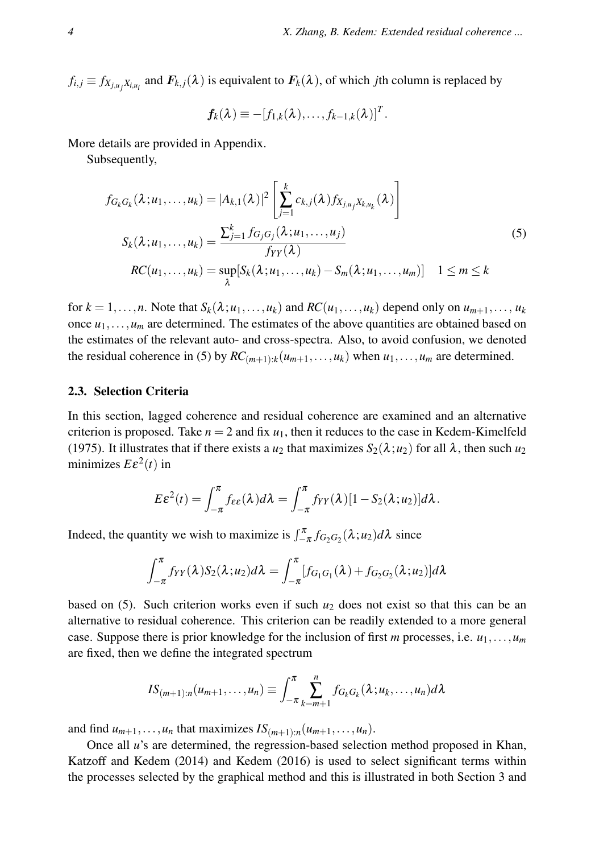$f_{i,j} \equiv f_{X_{j,u_j}X_{i,u_i}}$  and  $F_{k,j}(\lambda)$  is equivalent to  $F_k(\lambda)$ , of which *j*th column is replaced by

$$
\boldsymbol{f}_k(\boldsymbol{\lambda}) \equiv -[f_{1,k}(\boldsymbol{\lambda}), \ldots, f_{k-1,k}(\boldsymbol{\lambda})]^T.
$$

More details are provided in Appendix.

Subsequently,

$$
f_{G_k G_k}(\lambda; u_1, ..., u_k) = |A_{k,1}(\lambda)|^2 \left[ \sum_{j=1}^k c_{k,j}(\lambda) f_{X_{j, u_j} X_{k, u_k}}(\lambda) \right]
$$
  

$$
S_k(\lambda; u_1, ..., u_k) = \frac{\sum_{j=1}^k f_{G_j G_j}(\lambda; u_1, ..., u_j)}{f_{YY}(\lambda)}
$$
  

$$
RC(u_1, ..., u_k) = \sup_{\lambda} [S_k(\lambda; u_1, ..., u_k) - S_m(\lambda; u_1, ..., u_m)] \quad 1 \le m \le k
$$
 (5)

for  $k = 1, \ldots, n$ . Note that  $S_k(\lambda; u_1, \ldots, u_k)$  and  $RC(u_1, \ldots, u_k)$  depend only on  $u_{m+1}, \ldots, u_k$ once  $u_1, \ldots, u_m$  are determined. The estimates of the above quantities are obtained based on the estimates of the relevant auto- and cross-spectra. Also, to avoid confusion, we denoted the residual coherence in (5) by  $RC_{(m+1):k}(u_{m+1},...,u_k)$  when  $u_1,...,u_m$  are determined.

#### 2.3. Selection Criteria

In this section, lagged coherence and residual coherence are examined and an alternative criterion is proposed. Take  $n = 2$  and fix  $u_1$ , then it reduces to the case in Kedem-Kimelfeld (1975). It illustrates that if there exists a  $u_2$  that maximizes  $S_2(\lambda; u_2)$  for all  $\lambda$ , then such  $u_2$ minimizes  $E\epsilon^2(t)$  in

$$
E\epsilon^2(t) = \int_{-\pi}^{\pi} f_{\epsilon\epsilon}(\lambda) d\lambda = \int_{-\pi}^{\pi} f_{YY}(\lambda) [1 - S_2(\lambda; u_2)] d\lambda.
$$

Indeed, the quantity we wish to maximize is  $\int_{-\pi}^{\pi} f_{G_2G_2}(\lambda; u_2) d\lambda$  since

$$
\int_{-\pi}^{\pi} f_{YY}(\lambda) S_2(\lambda; u_2) d\lambda = \int_{-\pi}^{\pi} [f_{G_1G_1}(\lambda) + f_{G_2G_2}(\lambda; u_2)] d\lambda
$$

based on (5). Such criterion works even if such *u*<sup>2</sup> does not exist so that this can be an alternative to residual coherence. This criterion can be readily extended to a more general case. Suppose there is prior knowledge for the inclusion of first *m* processes, i.e.  $u_1, \ldots, u_m$ are fixed, then we define the integrated spectrum

$$
IS_{(m+1):n}(u_{m+1},\ldots,u_n)\equiv \int_{-\pi}^{\pi}\sum_{k=m+1}^{n}f_{G_kG_k}(\lambda;u_k,\ldots,u_n)d\lambda
$$

and find  $u_{m+1}, \ldots, u_n$  that maximizes  $IS_{(m+1):n}(u_{m+1}, \ldots, u_n)$ .

Once all *u*'s are determined, the regression-based selection method proposed in Khan, Katzoff and Kedem (2014) and Kedem (2016) is used to select significant terms within the processes selected by the graphical method and this is illustrated in both Section 3 and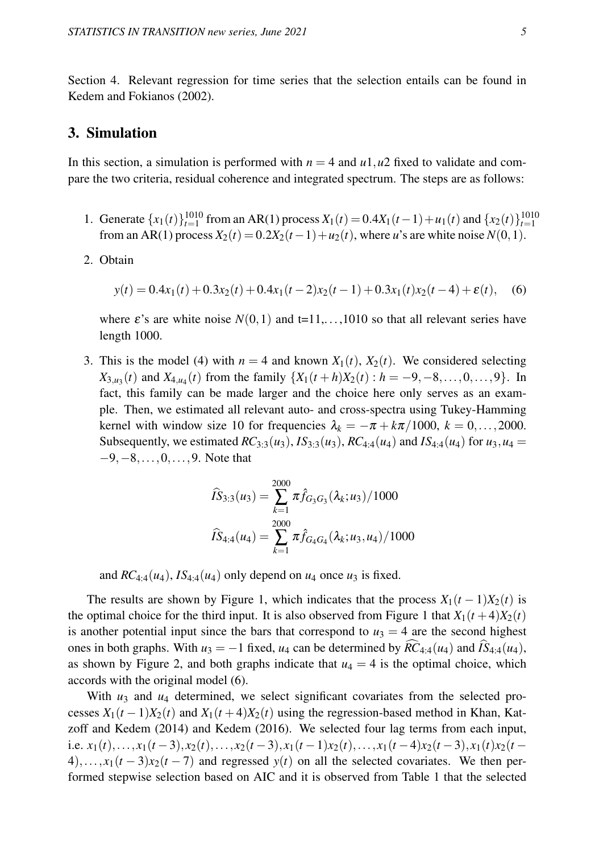Section 4. Relevant regression for time series that the selection entails can be found in Kedem and Fokianos (2002).

### 3. Simulation

In this section, a simulation is performed with  $n = 4$  and  $u_1, u_2$  fixed to validate and compare the two criteria, residual coherence and integrated spectrum. The steps are as follows:

- 1. Generate  $\{x_1(t)\}_{t=1}^{1010}$  from an AR(1) process  $X_1(t) = 0.4X_1(t-1) + u_1(t)$  and  $\{x_2(t)\}_{t=1}^{1010}$ from an AR(1) process  $X_2(t) = 0.2X_2(t-1) + u_2(t)$ , where *u*'s are white noise  $N(0,1)$ .
- 2. Obtain

$$
y(t) = 0.4x_1(t) + 0.3x_2(t) + 0.4x_1(t-2)x_2(t-1) + 0.3x_1(t)x_2(t-4) + \varepsilon(t),
$$
 (6)

where  $\varepsilon$ 's are white noise  $N(0,1)$  and  $t=11,\ldots,1010$  so that all relevant series have length 1000.

3. This is the model (4) with  $n = 4$  and known  $X_1(t)$ ,  $X_2(t)$ . We considered selecting *X*<sub>3,*u*<sub>3</sub></sub>(*t*) and *X*<sub>4,*u*<sub>4</sub></sub>(*t*) from the family {*X*<sub>1</sub>(*t* + *h*)*X*<sub>2</sub>(*t*) : *h* = −9,−8,...,0,...,9}. In fact, this family can be made larger and the choice here only serves as an example. Then, we estimated all relevant auto- and cross-spectra using Tukey-Hamming kernel with window size 10 for frequencies  $\lambda_k = -\pi + k\pi/1000$ ,  $k = 0, \ldots, 2000$ . Subsequently, we estimated  $RC_{3:3}(u_3)$ ,  $IS_{3:3}(u_3)$ ,  $RC_{4:4}(u_4)$  and  $IS_{4:4}(u_4)$  for  $u_3$ ,  $u_4 =$ −9,−8,...,0,...,9. Note that

$$
\widehat{IS}_{3:3}(u_3) = \sum_{k=1}^{2000} \pi \widehat{f}_{G_3G_3}(\lambda_k; u_3) / 1000
$$

$$
\widehat{IS}_{4:4}(u_4) = \sum_{k=1}^{2000} \pi \widehat{f}_{G_4G_4}(\lambda_k; u_3, u_4) / 1000
$$

and  $RC_{4:4}(u_4)$ ,  $IS_{4:4}(u_4)$  only depend on  $u_4$  once  $u_3$  is fixed.

The results are shown by Figure 1, which indicates that the process  $X_1(t-1)X_2(t)$  is the optimal choice for the third input. It is also observed from Figure 1 that  $X_1(t+4)X_2(t)$ is another potential input since the bars that correspond to  $u_3 = 4$  are the second highest ones in both graphs. With  $u_3 = -1$  fixed,  $u_4$  can be determined by  $RC_{4.4}(u_4)$  and  $IS_{4.4}(u_4)$ , as shown by Figure 2, and both graphs indicate that  $u_4 = 4$  is the optimal choice, which accords with the original model (6).

With  $u_3$  and  $u_4$  determined, we select significant covariates from the selected processes  $X_1(t-1)X_2(t)$  and  $X_1(t+4)X_2(t)$  using the regression-based method in Khan, Katzoff and Kedem (2014) and Kedem (2016). We selected four lag terms from each input, i.e.  $x_1(t),...,x_1(t-3),x_2(t),...,x_2(t-3),x_1(t-1)x_2(t),...,x_1(t-4)x_2(t-3),x_1(t)x_2(t 4)$ ,..., $x_1(t-3)x_2(t-7)$  and regressed  $y(t)$  on all the selected covariates. We then performed stepwise selection based on AIC and it is observed from Table 1 that the selected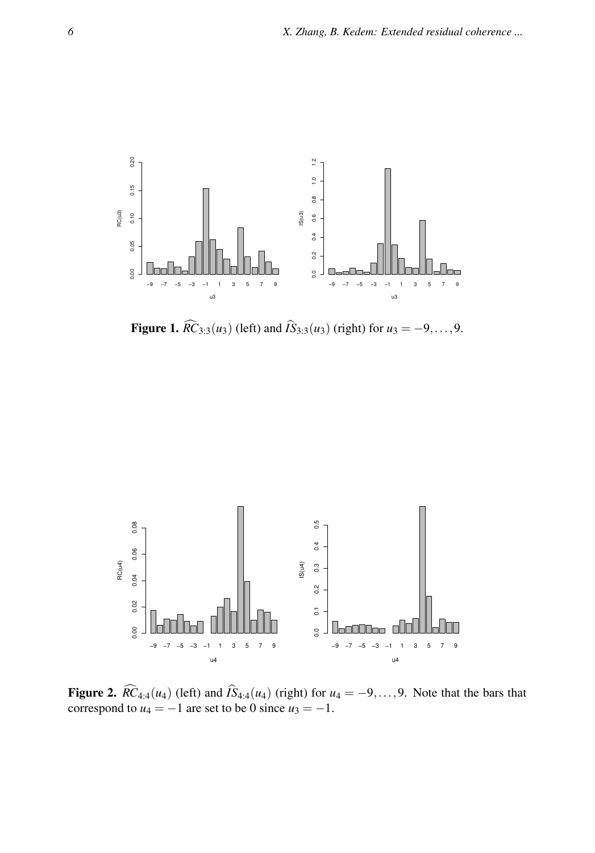

**Figure 1.**  $\widehat{RC}_{3:3}(u_3)$  (left) and  $\widehat{IS}_{3:3}(u_3)$  (right) for  $u_3 = -9, ..., 9$ .



Figure 2.  $RC_{4:4}(u_4)$  (left) and  $IS_{4:4}(u_4)$  (right) for  $u_4 = -9, \ldots, 9$ . Note that the bars that correspond to  $u_4 = -1$  are set to be 0 since  $u_3 = -1$ .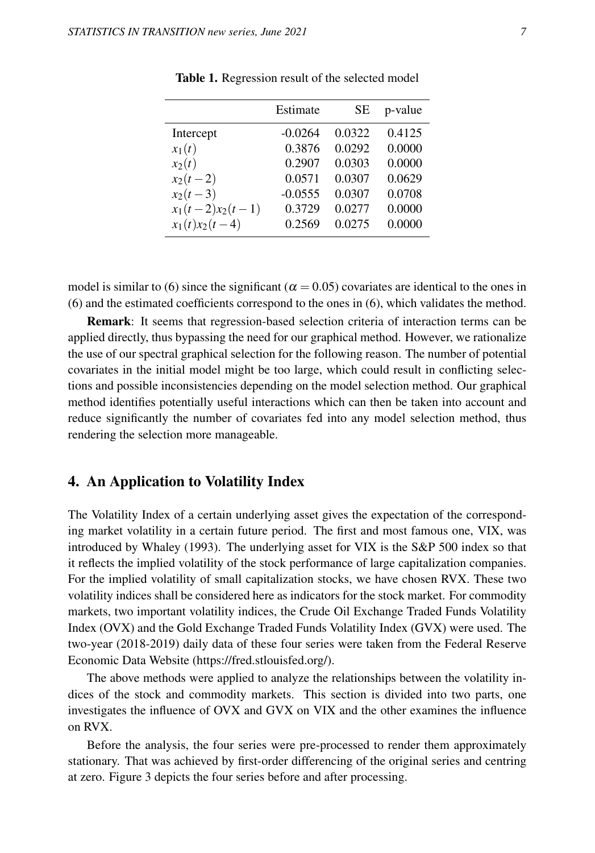|                    | Estimate  | SЕ     | p-value |
|--------------------|-----------|--------|---------|
| Intercept          | $-0.0264$ | 0.0322 | 0.4125  |
| $x_1(t)$           | 0.3876    | 0.0292 | 0.0000  |
| $x_2(t)$           | 0.2907    | 0.0303 | 0.0000  |
| $x_2(t-2)$         | 0.0571    | 0.0307 | 0.0629  |
| $x_2(t-3)$         | $-0.0555$ | 0.0307 | 0.0708  |
| $x_1(t-2)x_2(t-1)$ | 0.3729    | 0.0277 | 0.0000  |
| $x_1(t)x_2(t-4)$   | 0.2569    | 0.0275 | 0.0000  |

Table 1. Regression result of the selected model

model is similar to (6) since the significant ( $\alpha$  = 0.05) covariates are identical to the ones in (6) and the estimated coefficients correspond to the ones in (6), which validates the method.

Remark: It seems that regression-based selection criteria of interaction terms can be applied directly, thus bypassing the need for our graphical method. However, we rationalize the use of our spectral graphical selection for the following reason. The number of potential covariates in the initial model might be too large, which could result in conflicting selections and possible inconsistencies depending on the model selection method. Our graphical method identifies potentially useful interactions which can then be taken into account and reduce significantly the number of covariates fed into any model selection method, thus rendering the selection more manageable.

### 4. An Application to Volatility Index

The Volatility Index of a certain underlying asset gives the expectation of the corresponding market volatility in a certain future period. The first and most famous one, VIX, was introduced by Whaley (1993). The underlying asset for VIX is the S&P 500 index so that it reflects the implied volatility of the stock performance of large capitalization companies. For the implied volatility of small capitalization stocks, we have chosen RVX. These two volatility indices shall be considered here as indicators for the stock market. For commodity markets, two important volatility indices, the Crude Oil Exchange Traded Funds Volatility Index (OVX) and the Gold Exchange Traded Funds Volatility Index (GVX) were used. The two-year (2018-2019) daily data of these four series were taken from the Federal Reserve Economic Data Website (https://fred.stlouisfed.org/).

The above methods were applied to analyze the relationships between the volatility indices of the stock and commodity markets. This section is divided into two parts, one investigates the influence of OVX and GVX on VIX and the other examines the influence on RVX.

Before the analysis, the four series were pre-processed to render them approximately stationary. That was achieved by first-order differencing of the original series and centring at zero. Figure 3 depicts the four series before and after processing.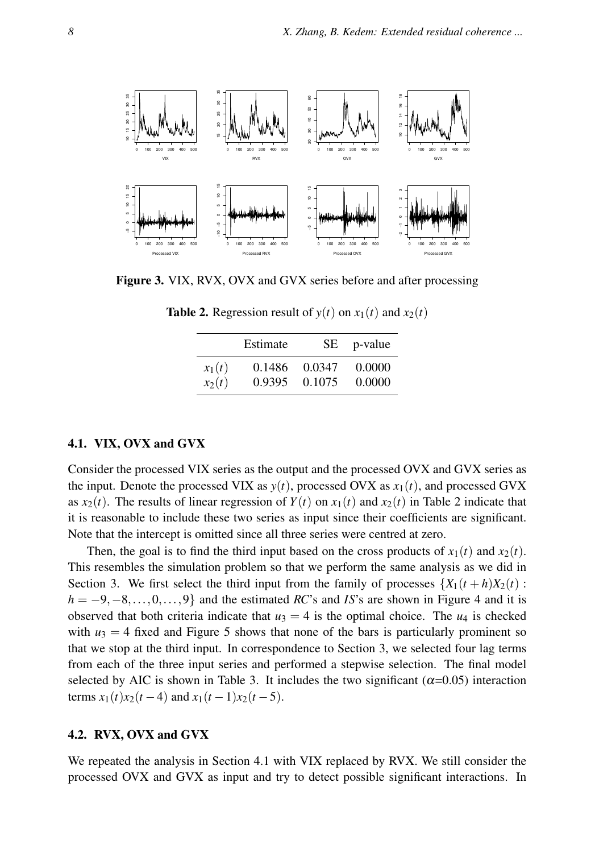

Figure 3. VIX, RVX, OVX and GVX series before and after processing

|          | Estimate | SE.    | p-value |
|----------|----------|--------|---------|
| $x_1(t)$ | 0.1486   | 0.0347 | 0.0000  |
| $x_2(t)$ | 0.9395   | 0.1075 | 0.0000  |

**Table 2.** Regression result of  $y(t)$  on  $x_1(t)$  and  $x_2(t)$ 

### 4.1. VIX, OVX and GVX

Consider the processed VIX series as the output and the processed OVX and GVX series as the input. Denote the processed VIX as  $y(t)$ , processed OVX as  $x_1(t)$ , and processed GVX as  $x_2(t)$ . The results of linear regression of  $Y(t)$  on  $x_1(t)$  and  $x_2(t)$  in Table 2 indicate that it is reasonable to include these two series as input since their coefficients are significant. Note that the intercept is omitted since all three series were centred at zero.

Then, the goal is to find the third input based on the cross products of  $x_1(t)$  and  $x_2(t)$ . This resembles the simulation problem so that we perform the same analysis as we did in Section 3. We first select the third input from the family of processes  $\{X_1(t+h)X_2(t):$  $h = -9, -8, \ldots, 0, \ldots, 9$ } and the estimated *RC*'s and *IS*'s are shown in Figure 4 and it is observed that both criteria indicate that  $u_3 = 4$  is the optimal choice. The  $u_4$  is checked with  $u_3 = 4$  fixed and Figure 5 shows that none of the bars is particularly prominent so that we stop at the third input. In correspondence to Section 3, we selected four lag terms from each of the three input series and performed a stepwise selection. The final model selected by AIC is shown in Table 3. It includes the two significant ( $\alpha$ =0.05) interaction terms  $x_1(t)x_2(t-4)$  and  $x_1(t-1)x_2(t-5)$ .

#### 4.2. RVX, OVX and GVX

We repeated the analysis in Section 4.1 with VIX replaced by RVX. We still consider the processed OVX and GVX as input and try to detect possible significant interactions. In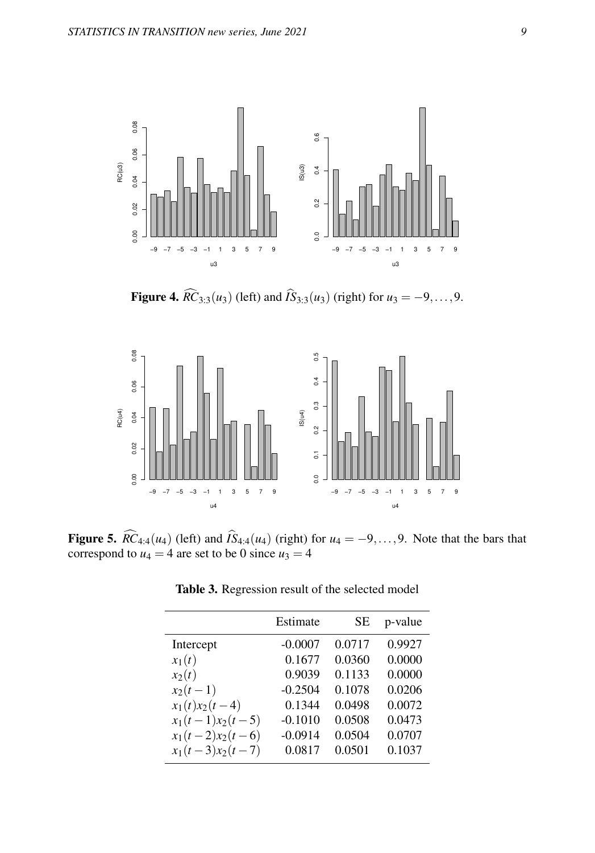

**Figure 4.**  $\widehat{RC}_{3:3}(u_3)$  (left) and  $\widehat{IS}_{3:3}(u_3)$  (right) for  $u_3 = -9, ..., 9$ .



Figure 5.  $\widehat{RC}_{4:4}(u_4)$  (left) and  $\widehat{IS}_{4:4}(u_4)$  (right) for  $u_4 = -9, \ldots, 9$ . Note that the bars that correspond to  $u_4 = 4$  are set to be 0 since  $u_3 = 4$ 

|                    | Estimate  | SЕ     | p-value |
|--------------------|-----------|--------|---------|
| Intercept          | $-0.0007$ | 0.0717 | 0.9927  |
| $x_1(t)$           | 0.1677    | 0.0360 | 0.0000  |
| $x_2(t)$           | 0.9039    | 0.1133 | 0.0000  |
| $x_2(t-1)$         | $-0.2504$ | 0.1078 | 0.0206  |
| $x_1(t)x_2(t-4)$   | 0.1344    | 0.0498 | 0.0072  |
| $x_1(t-1)x_2(t-5)$ | $-0.1010$ | 0.0508 | 0.0473  |
| $x_1(t-2)x_2(t-6)$ | $-0.0914$ | 0.0504 | 0.0707  |
| $x_1(t-3)x_2(t-7)$ | 0.0817    | 0.0501 | 0.1037  |

Table 3. Regression result of the selected model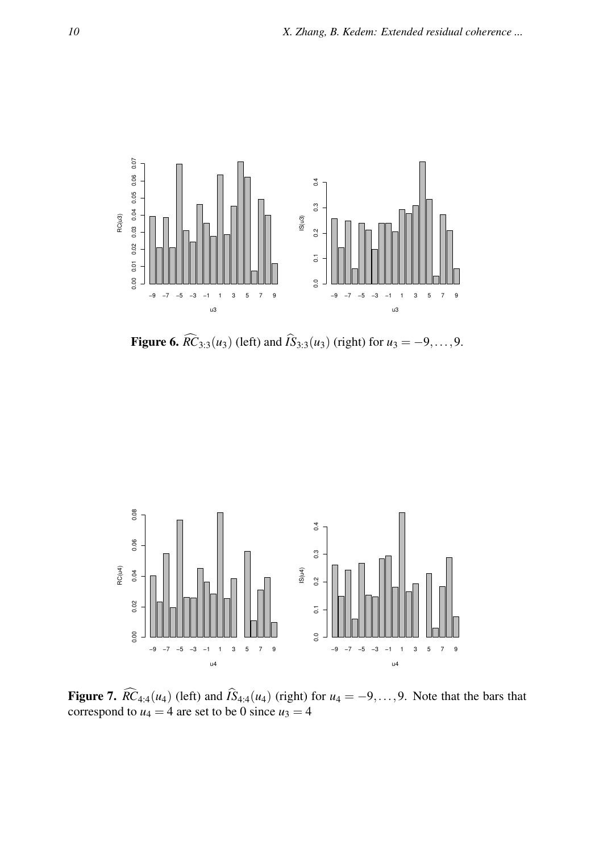

**Figure 6.**  $\widehat{RC}_{3:3}(u_3)$  (left) and  $\widehat{IS}_{3:3}(u_3)$  (right) for  $u_3 = -9, ..., 9$ .



Figure 7.  $\widehat{RC}_{4.4}(u_4)$  (left) and  $\widehat{IS}_{4.4}(u_4)$  (right) for  $u_4 = -9, \ldots, 9$ . Note that the bars that correspond to  $u_4 = 4$  are set to be 0 since  $u_3 = 4$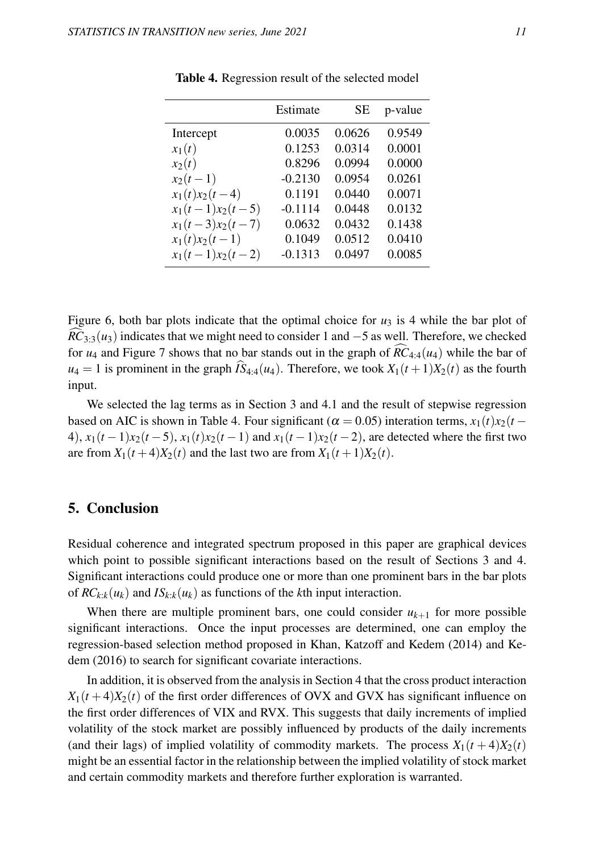|                    | Estimate  | SЕ     | p-value |
|--------------------|-----------|--------|---------|
| Intercept          | 0.0035    | 0.0626 | 0.9549  |
| $x_1(t)$           | 0.1253    | 0.0314 | 0.0001  |
| $x_2(t)$           | 0.8296    | 0.0994 | 0.0000  |
| $x_2(t-1)$         | $-0.2130$ | 0.0954 | 0.0261  |
| $x_1(t)x_2(t-4)$   | 0.1191    | 0.0440 | 0.0071  |
| $x_1(t-1)x_2(t-5)$ | $-0.1114$ | 0.0448 | 0.0132  |
| $x_1(t-3)x_2(t-7)$ | 0.0632    | 0.0432 | 0.1438  |
| $x_1(t)x_2(t-1)$   | 0.1049    | 0.0512 | 0.0410  |
| $x_1(t-1)x_2(t-2)$ | $-0.1313$ | 0.0497 | 0.0085  |

Table 4. Regression result of the selected model

Figure 6, both bar plots indicate that the optimal choice for  $u_3$  is 4 while the bar plot of  $RC<sub>3/3</sub>(u<sub>3</sub>)$  indicates that we might need to consider 1 and  $-5$  as well. Therefore, we checked for  $u_4$  and Figure 7 shows that no bar stands out in the graph of  $\hat{RC}_{4.4}(u_4)$  while the bar of  $u_4 = 1$  is prominent in the graph  $\widehat{IS}_{4:4}(u_4)$ . Therefore, we took  $X_1(t+1)X_2(t)$  as the fourth input.

We selected the lag terms as in Section 3 and 4.1 and the result of stepwise regression based on AIC is shown in Table 4. Four significant ( $\alpha = 0.05$ ) interation terms,  $x_1(t)x_2(t -$ 4),  $x_1(t-1)x_2(t-5)$ ,  $x_1(t)x_2(t-1)$  and  $x_1(t-1)x_2(t-2)$ , are detected where the first two are from  $X_1(t+4)X_2(t)$  and the last two are from  $X_1(t+1)X_2(t)$ .

## 5. Conclusion

Residual coherence and integrated spectrum proposed in this paper are graphical devices which point to possible significant interactions based on the result of Sections 3 and 4. Significant interactions could produce one or more than one prominent bars in the bar plots of  $RC_{k:k}(u_k)$  and  $IS_{k:k}(u_k)$  as functions of the *k*th input interaction.

When there are multiple prominent bars, one could consider  $u_{k+1}$  for more possible significant interactions. Once the input processes are determined, one can employ the regression-based selection method proposed in Khan, Katzoff and Kedem (2014) and Kedem (2016) to search for significant covariate interactions.

In addition, it is observed from the analysis in Section 4 that the cross product interaction  $X_1(t+4)X_2(t)$  of the first order differences of OVX and GVX has significant influence on the first order differences of VIX and RVX. This suggests that daily increments of implied volatility of the stock market are possibly influenced by products of the daily increments (and their lags) of implied volatility of commodity markets. The process  $X_1(t+4)X_2(t)$ might be an essential factor in the relationship between the implied volatility of stock market and certain commodity markets and therefore further exploration is warranted.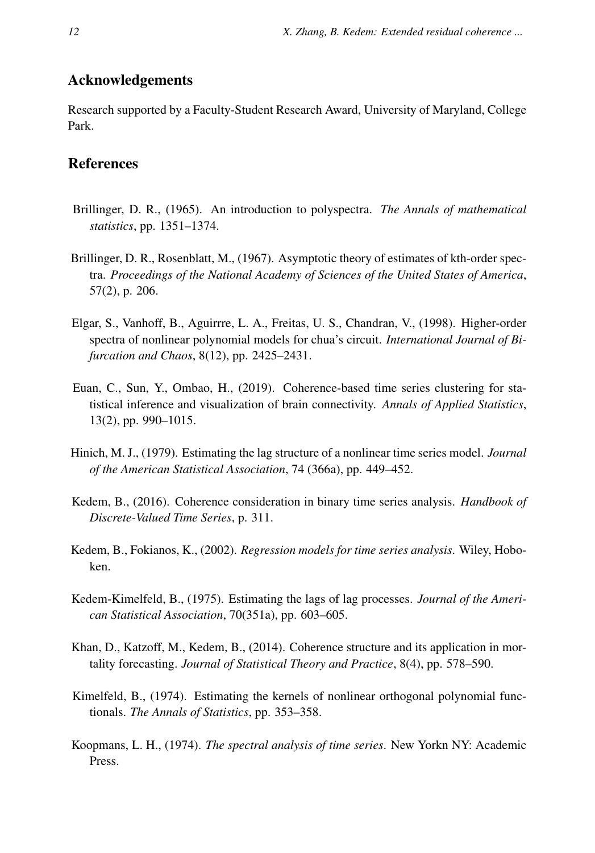# Acknowledgements

Research supported by a Faculty-Student Research Award, University of Maryland, College Park.

## References

- Brillinger, D. R., (1965). An introduction to polyspectra. *The Annals of mathematical statistics*, pp. 1351–1374.
- Brillinger, D. R., Rosenblatt, M., (1967). Asymptotic theory of estimates of kth-order spectra. *Proceedings of the National Academy of Sciences of the United States of America*, 57(2), p. 206.
- Elgar, S., Vanhoff, B., Aguirrre, L. A., Freitas, U. S., Chandran, V., (1998). Higher-order spectra of nonlinear polynomial models for chua's circuit. *International Journal of Bifurcation and Chaos*, 8(12), pp. 2425–2431.
- Euan, C., Sun, Y., Ombao, H., (2019). Coherence-based time series clustering for statistical inference and visualization of brain connectivity. *Annals of Applied Statistics*, 13(2), pp. 990–1015.
- Hinich, M. J., (1979). Estimating the lag structure of a nonlinear time series model. *Journal of the American Statistical Association*, 74 (366a), pp. 449–452.
- Kedem, B., (2016). Coherence consideration in binary time series analysis. *Handbook of Discrete-Valued Time Series*, p. 311.
- Kedem, B., Fokianos, K., (2002). *Regression models for time series analysis*. Wiley, Hoboken.
- Kedem-Kimelfeld, B., (1975). Estimating the lags of lag processes. *Journal of the American Statistical Association*, 70(351a), pp. 603–605.
- Khan, D., Katzoff, M., Kedem, B., (2014). Coherence structure and its application in mortality forecasting. *Journal of Statistical Theory and Practice*, 8(4), pp. 578–590.
- Kimelfeld, B., (1974). Estimating the kernels of nonlinear orthogonal polynomial functionals. *The Annals of Statistics*, pp. 353–358.
- Koopmans, L. H., (1974). *The spectral analysis of time series*. New Yorkn NY: Academic Press.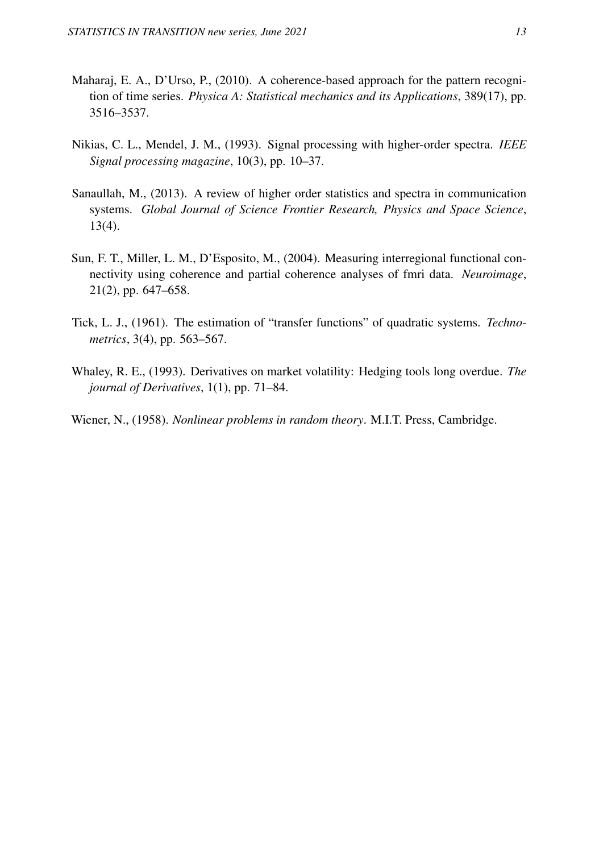- Maharaj, E. A., D'Urso, P., (2010). A coherence-based approach for the pattern recognition of time series. *Physica A: Statistical mechanics and its Applications*, 389(17), pp. 3516–3537.
- Nikias, C. L., Mendel, J. M., (1993). Signal processing with higher-order spectra. *IEEE Signal processing magazine*, 10(3), pp. 10–37.
- Sanaullah, M., (2013). A review of higher order statistics and spectra in communication systems. *Global Journal of Science Frontier Research, Physics and Space Science*, 13(4).
- Sun, F. T., Miller, L. M., D'Esposito, M., (2004). Measuring interregional functional connectivity using coherence and partial coherence analyses of fmri data. *Neuroimage*, 21(2), pp. 647–658.
- Tick, L. J., (1961). The estimation of "transfer functions" of quadratic systems. *Technometrics*, 3(4), pp. 563–567.
- Whaley, R. E., (1993). Derivatives on market volatility: Hedging tools long overdue. *The journal of Derivatives*, 1(1), pp. 71–84.
- Wiener, N., (1958). *Nonlinear problems in random theory*. M.I.T. Press, Cambridge.